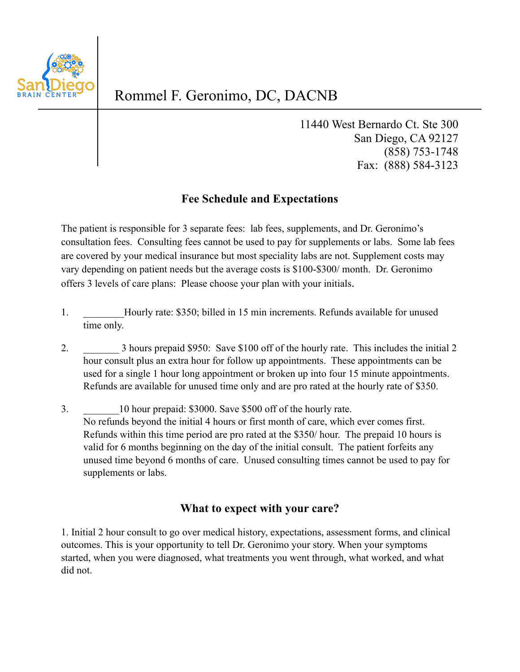

## Rommel F. Geronimo, DC, DACNB

11440 West Bernardo Ct. Ste 300 San Diego, CA 92127 (858) 753-1748 Fax: (888) 584-3123

## **Fee Schedule and Expectations**

The patient is responsible for 3 separate fees: lab fees, supplements, and Dr. Geronimo's consultation fees. Consulting fees cannot be used to pay for supplements or labs. Some lab fees are covered by your medical insurance but most speciality labs are not. Supplement costs may vary depending on patient needs but the average costs is \$100-\$300/ month. Dr. Geronimo offers 3 levels of care plans: Please choose your plan with your initials.

- 1. Hourly rate: \$350; billed in 15 min increments. Refunds available for unused time only.
- 2. 3 hours prepaid \$950: Save \$100 off of the hourly rate. This includes the initial 2 hour consult plus an extra hour for follow up appointments. These appointments can be used for a single 1 hour long appointment or broken up into four 15 minute appointments. Refunds are available for unused time only and are pro rated at the hourly rate of \$350.
- 3. **10 hour prepaid: \$3000. Save \$500 off of the hourly rate.** No refunds beyond the initial 4 hours or first month of care, which ever comes first. Refunds within this time period are pro rated at the \$350/ hour. The prepaid 10 hours is valid for 6 months beginning on the day of the initial consult. The patient forfeits any unused time beyond 6 months of care. Unused consulting times cannot be used to pay for supplements or labs.

## **What to expect with your care?**

1. Initial 2 hour consult to go over medical history, expectations, assessment forms, and clinical outcomes. This is your opportunity to tell Dr. Geronimo your story. When your symptoms started, when you were diagnosed, what treatments you went through, what worked, and what did not.